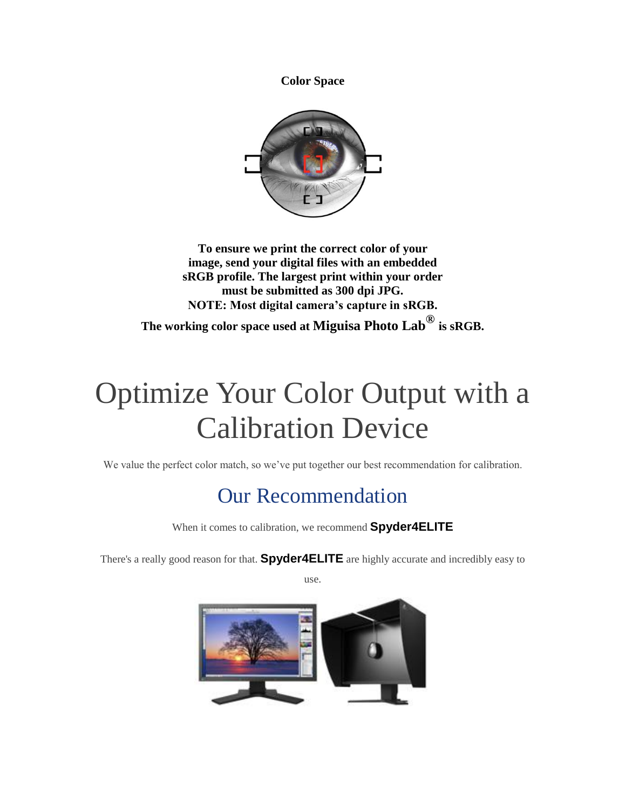**Color Space**



**To ensure we print the correct color of your image, send your digital files with an embedded sRGB profile. The largest print within your order must be submitted as 300 dpi JPG. NOTE: Most digital camera's capture in sRGB.**

**The working color space used at Miguisa Photo Lab® is sRGB.**

# Optimize Your Color Output with a Calibration Device

We value the perfect color match, so we've put together our best recommendation for calibration.

# Our Recommendation

When it comes to calibration, we recommend **Spyder4ELITE**

There's a really good reason for that. **Spyder4ELITE** are highly accurate and incredibly easy to

use.

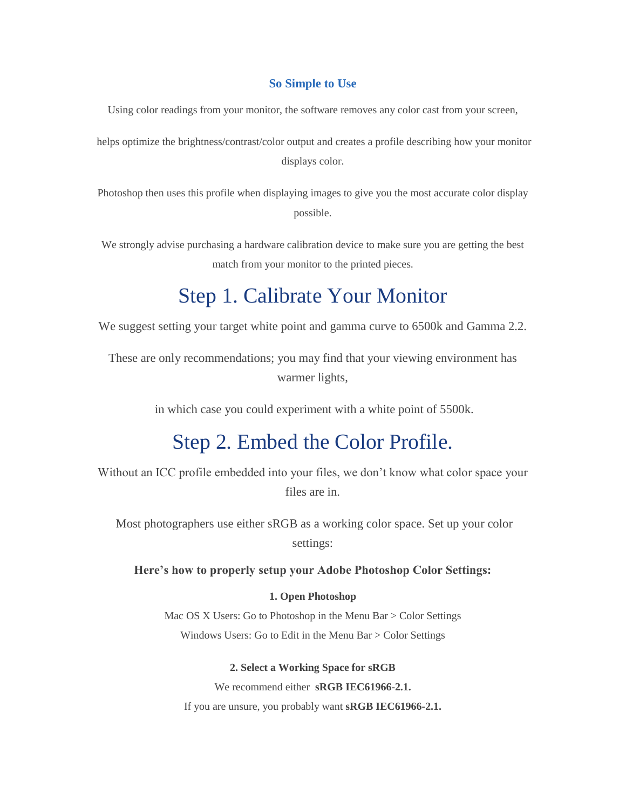### **So Simple to Use**

Using color readings from your monitor, the software removes any color cast from your screen,

helps optimize the brightness/contrast/color output and creates a profile describing how your monitor displays color.

Photoshop then uses this profile when displaying images to give you the most accurate color display possible.

We strongly advise purchasing a hardware calibration device to make sure you are getting the best match from your monitor to the printed pieces.

## Step 1. Calibrate Your Monitor

We suggest setting your target white point and gamma curve to 6500k and Gamma 2.2.

These are only recommendations; you may find that your viewing environment has warmer lights,

in which case you could experiment with a white point of 5500k.

### Step 2. Embed the Color Profile.

Without an ICC profile embedded into your files, we don't know what color space your files are in.

Most photographers use either sRGB as a working color space. Set up your color settings:

**Here's how to properly setup your Adobe Photoshop Color Settings:**

### **1. Open Photoshop**

Mac OS X Users: Go to Photoshop in the Menu Bar > Color Settings Windows Users: Go to Edit in the Menu Bar > Color Settings

**2. Select a Working Space for sRGB**

We recommend either **sRGB IEC61966-2.1.**

If you are unsure, you probably want **sRGB IEC61966-2.1.**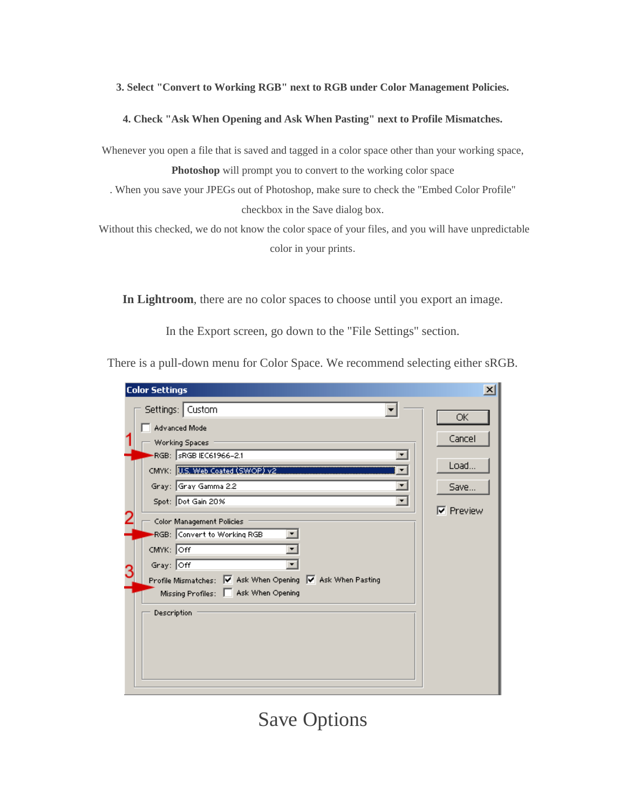### **3. Select "Convert to Working RGB" next to RGB under Color Management Policies.**

#### **4. Check "Ask When Opening and Ask When Pasting" next to Profile Mismatches.**

Whenever you open a file that is saved and tagged in a color space other than your working space, **Photoshop** will prompt you to convert to the working color space

. When you save your JPEGs out of Photoshop, make sure to check the "Embed Color Profile" checkbox in the Save dialog box.

Without this checked, we do not know the color space of your files, and you will have unpredictable color in your prints.

**In Lightroom**, there are no color spaces to choose until you export an image.

In the Export screen, go down to the "File Settings" section.

There is a pull-down menu for Color Space. We recommend selecting either sRGB.

| <b>Color Settings</b>                                                                                                                                                                                                                           | $\vert x \vert$                                  |
|-------------------------------------------------------------------------------------------------------------------------------------------------------------------------------------------------------------------------------------------------|--------------------------------------------------|
| Settings:   Custom<br>Advanced Mode<br>Working Spaces<br>RGB: SRGB IEC61966-2.1<br>CMYK: U.S. Web Coated (SWOP) v2<br>Gray: Gray Gamma 2.2<br>Spot: Dot Gain 20%<br>Color Management Policies<br>RGB: Convert to Working RGB<br>CMYK: Off<br>۰. | ОК<br>Cancel<br>Load<br>Save<br><b>▽</b> Preview |
| Gray: Off<br>Profile Mismatches: V Ask When Opening V Ask When Pasting<br>Missing Profiles:   Ask When Opening<br>Description                                                                                                                   |                                                  |

# Save Options